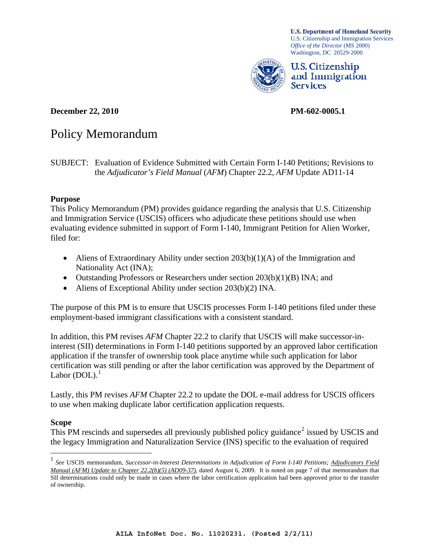**U.S. Department of Homeland Security** U.S. Citizenship and Immigration Services *Office of the Director* (MS 2000) Washington, DC 20529-2000



U.S. Citizenship and Immigration **Services** 

# **December 22, 2010 PM-602-0005.1**

# Policy Memorandum

SUBJECT: Evaluation of Evidence Submitted with Certain Form I-140 Petitions; Revisions to the *Adjudicator's Field Manual* (*AFM*) Chapter 22.2, *AFM* Update AD11-14

## **Purpose**

This Policy Memorandum (PM) provides guidance regarding the analysis that U.S. Citizenship and Immigration Service (USCIS) officers who adjudicate these petitions should use when evaluating evidence submitted in support of Form I-140, Immigrant Petition for Alien Worker, filed for:

- Aliens of Extraordinary Ability under section  $203(b)(1)(A)$  of the Immigration and Nationality Act (INA);
- Outstanding Professors or Researchers under section  $203(b)(1)(B)$  INA; and
- Aliens of Exceptional Ability under section 203(b)(2) INA.

The purpose of this PM is to ensure that USCIS processes Form I-140 petitions filed under these employment-based immigrant classifications with a consistent standard.

In addition, this PM revises *AFM* Chapter 22.2 to clarify that USCIS will make successor-ininterest (SII) determinations in Form I-140 petitions supported by an approved labor certification application if the transfer of ownership took place anytime while such application for labor certification was still pending or after the labor certification was approved by the Department of Labor  $(DOL).$ <sup>[1](#page-0-0)</sup>

Lastly, this PM revises *AFM* Chapter 22.2 to update the DOL e-mail address for USCIS officers to use when making duplicate labor certification application requests.

# **Scope**

 $\overline{a}$ 

This PM rescinds and supersedes all previously published policy guidance<sup>[2](#page-0-1)</sup> issued by USCIS and the legacy Immigration and Naturalization Service (INS) specific to the evaluation of required

<span id="page-0-1"></span><span id="page-0-0"></span><sup>1</sup> *See* USCIS memorandum, *Successor-in-Interest Determinations in Adjudication of Form I-140 Petitions; Adjudicators Field Manual (AFM) Update to Chapter 22.2(b)(5) (AD09-37)*, dated August 6, 2009. It is noted on page 7 of that memorandum that SII determinations could only be made in cases where the labor certification application had been approved prior to the transfer of ownership.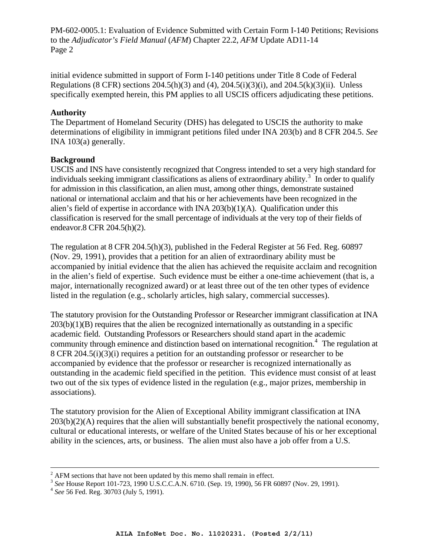initial evidence submitted in support of Form I-140 petitions under Title 8 Code of Federal Regulations (8 CFR) sections  $204.5(h)(3)$  and  $(4)$ ,  $204.5(i)(3)(i)$ , and  $204.5(k)(3)(ii)$ . Unless specifically exempted herein, this PM applies to all USCIS officers adjudicating these petitions.

### **Authority**

The Department of Homeland Security (DHS) has delegated to USCIS the authority to make determinations of eligibility in immigrant petitions filed under INA 203(b) and 8 CFR 204.5. *See* INA 103(a) generally.

#### **Background**

USCIS and INS have consistently recognized that Congress intended to set a very high standard for individuals seeking immigrant classifications as aliens of extraordinary ability.<sup>[3](#page-1-0)</sup> In order to qualify for admission in this classification, an alien must, among other things, demonstrate sustained national or international acclaim and that his or her achievements have been recognized in the alien's field of expertise in accordance with INA 203(b)(1)(A). Qualification under this classification is reserved for the small percentage of individuals at the very top of their fields of endeavor.8 CFR 204.5(h)(2).

The regulation at 8 CFR 204.5(h)(3), published in the Federal Register at 56 Fed. Reg. 60897 (Nov. 29, 1991), provides that a petition for an alien of extraordinary ability must be accompanied by initial evidence that the alien has achieved the requisite acclaim and recognition in the alien's field of expertise. Such evidence must be either a one-time achievement (that is, a major, internationally recognized award) or at least three out of the ten other types of evidence listed in the regulation (e.g., scholarly articles, high salary, commercial successes).

The statutory provision for the Outstanding Professor or Researcher immigrant classification at INA  $203(b)(1)(B)$  requires that the alien be recognized internationally as outstanding in a specific academic field. Outstanding Professors or Researchers should stand apart in the academic community through eminence and distinction based on international recognition.<sup>[4](#page-1-1)</sup> The regulation at 8 CFR 204.5(i)(3)(i) requires a petition for an outstanding professor or researcher to be accompanied by evidence that the professor or researcher is recognized internationally as outstanding in the academic field specified in the petition. This evidence must consist of at least two out of the six types of evidence listed in the regulation (e.g., major prizes, membership in associations).

The statutory provision for the Alien of Exceptional Ability immigrant classification at INA  $203(b)(2)(A)$  requires that the alien will substantially benefit prospectively the national economy, cultural or educational interests, or welfare of the United States because of his or her exceptional ability in the sciences, arts, or business. The alien must also have a job offer from a U.S.

<u>.</u>

 $2$  AFM sections that have not been updated by this memo shall remain in effect.

<span id="page-1-1"></span><span id="page-1-0"></span><sup>&</sup>lt;sup>3</sup> *See* House Report 101-723, 1990 U.S.C.C.A.N. 6710. (Sep. 19, 1990), 56 FR 60897 (Nov. 29, 1991). <sup>4</sup> *See* 56 Fed. Reg. 30703 (July 5, 1991).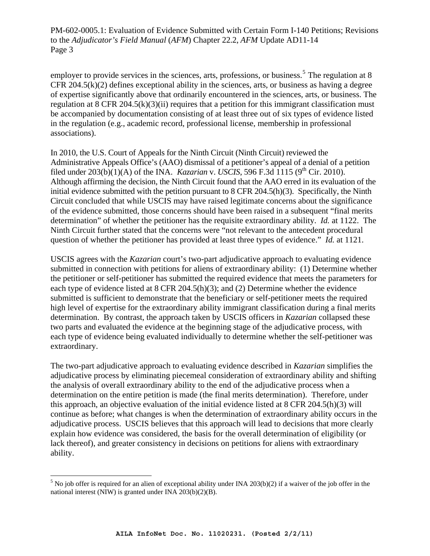employer to provide services in the sciences, arts, professions, or business.<sup>[5](#page-2-0)</sup> The regulation at 8 CFR 204.5 $(k)(2)$  defines exceptional ability in the sciences, arts, or business as having a degree of expertise significantly above that ordinarily encountered in the sciences, arts, or business. The regulation at 8 CFR 204.5(k)(3)(ii) requires that a petition for this immigrant classification must be accompanied by documentation consisting of at least three out of six types of evidence listed in the regulation (e.g., academic record, professional license, membership in professional associations).

In 2010, the U.S. Court of Appeals for the Ninth Circuit (Ninth Circuit) reviewed the Administrative Appeals Office's (AAO) dismissal of a petitioner's appeal of a denial of a petition filed under  $203(b)(1)(A)$  of the INA. *Kazarian v. USCIS*, 596 F.3d 1115 (9<sup>th</sup> Cir. 2010). Although affirming the decision, the Ninth Circuit found that the AAO erred in its evaluation of the initial evidence submitted with the petition pursuant to 8 CFR 204.5(h)(3). Specifically, the Ninth Circuit concluded that while USCIS may have raised legitimate concerns about the significance of the evidence submitted, those concerns should have been raised in a subsequent "final merits determination" of whether the petitioner has the requisite extraordinary ability. *Id.* at 1122. The Ninth Circuit further stated that the concerns were "not relevant to the antecedent procedural question of whether the petitioner has provided at least three types of evidence." *Id.* at 1121.

USCIS agrees with the *Kazarian* court's two-part adjudicative approach to evaluating evidence submitted in connection with petitions for aliens of extraordinary ability: (1) Determine whether the petitioner or self-petitioner has submitted the required evidence that meets the parameters for each type of evidence listed at 8 CFR 204.5(h)(3); and (2) Determine whether the evidence submitted is sufficient to demonstrate that the beneficiary or self-petitioner meets the required high level of expertise for the extraordinary ability immigrant classification during a final merits determination. By contrast, the approach taken by USCIS officers in *Kazarian* collapsed these two parts and evaluated the evidence at the beginning stage of the adjudicative process, with each type of evidence being evaluated individually to determine whether the self-petitioner was extraordinary.

The two-part adjudicative approach to evaluating evidence described in *Kazarian* simplifies the adjudicative process by eliminating piecemeal consideration of extraordinary ability and shifting the analysis of overall extraordinary ability to the end of the adjudicative process when a determination on the entire petition is made (the final merits determination). Therefore, under this approach, an objective evaluation of the initial evidence listed at 8 CFR 204.5(h)(3) will continue as before; what changes is when the determination of extraordinary ability occurs in the adjudicative process. USCIS believes that this approach will lead to decisions that more clearly explain how evidence was considered, the basis for the overall determination of eligibility (or lack thereof), and greater consistency in decisions on petitions for aliens with extraordinary ability.

1

<span id="page-2-0"></span><sup>&</sup>lt;sup>5</sup> No job offer is required for an alien of exceptional ability under INA 203(b)(2) if a waiver of the job offer in the national interest (NIW) is granted under INA 203(b)(2)(B).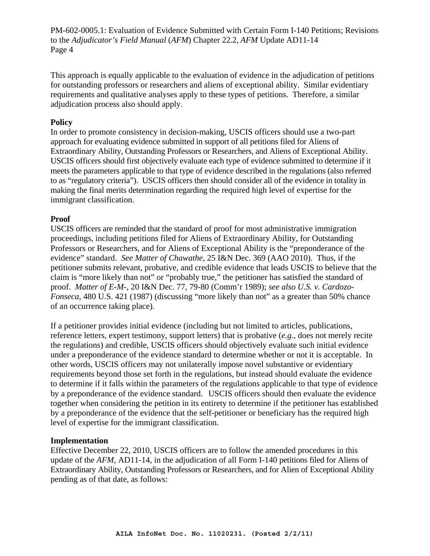This approach is equally applicable to the evaluation of evidence in the adjudication of petitions for outstanding professors or researchers and aliens of exceptional ability. Similar evidentiary requirements and qualitative analyses apply to these types of petitions. Therefore, a similar adjudication process also should apply.

## **Policy**

In order to promote consistency in decision-making, USCIS officers should use a two-part approach for evaluating evidence submitted in support of all petitions filed for Aliens of Extraordinary Ability, Outstanding Professors or Researchers, and Aliens of Exceptional Ability. USCIS officers should first objectively evaluate each type of evidence submitted to determine if it meets the parameters applicable to that type of evidence described in the regulations (also referred to as "regulatory criteria"). USCIS officers then should consider all of the evidence in totality in making the final merits determination regarding the required high level of expertise for the immigrant classification.

## **Proof**

USCIS officers are reminded that the standard of proof for most administrative immigration proceedings, including petitions filed for Aliens of Extraordinary Ability, for Outstanding Professors or Researchers, and for Aliens of Exceptional Ability is the "preponderance of the evidence" standard. *See Matter of Chawathe*, 25 I&N Dec. 369 (AAO 2010). Thus, if the petitioner submits relevant, probative, and credible evidence that leads USCIS to believe that the claim is "more likely than not" or "probably true," the petitioner has satisfied the standard of proof. *Matter of E-M-*, 20 I&N Dec. 77, 79-80 (Comm'r 1989); *see also [U.S. v. Cardozo-](http://www.uscis.gov/ilink/docView/INT/HTML/INT/0-0-0-65/0-0-0-3661.html#0-0-0-294)[Fonseca](http://www.uscis.gov/ilink/docView/INT/HTML/INT/0-0-0-65/0-0-0-3661.html#0-0-0-294)*, 480 U.S. 421 (1987) (discussing "more likely than not" as a greater than 50% chance of an occurrence taking place).

If a petitioner provides initial evidence (including but not limited to articles, publications, reference letters, expert testimony, support letters) that is probative (*e.g.,* does not merely recite the regulations) and credible, USCIS officers should objectively evaluate such initial evidence under a preponderance of the evidence standard to determine whether or not it is acceptable. In other words, USCIS officers may not unilaterally impose novel substantive or evidentiary requirements beyond those set forth in the regulations, but instead should evaluate the evidence to determine if it falls within the parameters of the regulations applicable to that type of evidence by a preponderance of the evidence standard. USCIS officers should then evaluate the evidence together when considering the petition in its entirety to determine if the petitioner has established by a preponderance of the evidence that the self-petitioner or beneficiary has the required high level of expertise for the immigrant classification.

#### **Implementation**

Effective December 22, 2010, USCIS officers are to follow the amended procedures in this update of the *AFM*, AD11-14, in the adjudication of all Form I-140 petitions filed for Aliens of Extraordinary Ability, Outstanding Professors or Researchers, and for Alien of Exceptional Ability pending as of that date, as follows: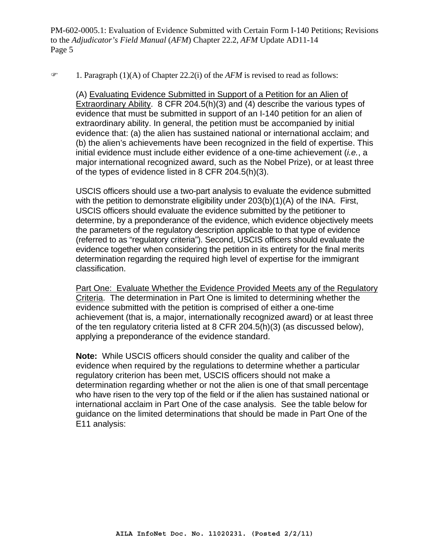1. Paragraph (1)(A) of Chapter 22.2(i) of the *AFM* is revised to read as follows:

(A) Evaluating Evidence Submitted in Support of a Petition for an Alien of Extraordinary Ability. 8 CFR 204.5(h)(3) and (4) describe the various types of evidence that must be submitted in support of an I-140 petition for an alien of extraordinary ability. In general, the petition must be accompanied by initial evidence that: (a) the alien has sustained national or international acclaim; and (b) the alien's achievements have been recognized in the field of expertise. This initial evidence must include either evidence of a one-time achievement (*i.e.*, a major international recognized award, such as the Nobel Prize), or at least three of the types of evidence listed in 8 CFR 204.5(h)(3).

USCIS officers should use a two-part analysis to evaluate the evidence submitted with the petition to demonstrate eligibility under 203(b)(1)(A) of the INA. First, USCIS officers should evaluate the evidence submitted by the petitioner to determine, by a preponderance of the evidence, which evidence objectively meets the parameters of the regulatory description applicable to that type of evidence (referred to as "regulatory criteria"). Second, USCIS officers should evaluate the evidence together when considering the petition in its entirety for the final merits determination regarding the required high level of expertise for the immigrant classification.

Part One: Evaluate Whether the Evidence Provided Meets any of the Regulatory Criteria. The determination in Part One is limited to determining whether the evidence submitted with the petition is comprised of either a one-time achievement (that is, a major, internationally recognized award) or at least three of the ten regulatory criteria listed at 8 CFR 204.5(h)(3) (as discussed below), applying a preponderance of the evidence standard.

**Note:** While USCIS officers should consider the quality and caliber of the evidence when required by the regulations to determine whether a particular regulatory criterion has been met, USCIS officers should not make a determination regarding whether or not the alien is one of that small percentage who have risen to the very top of the field or if the alien has sustained national or international acclaim in Part One of the case analysis. See the table below for guidance on the limited determinations that should be made in Part One of the E11 analysis: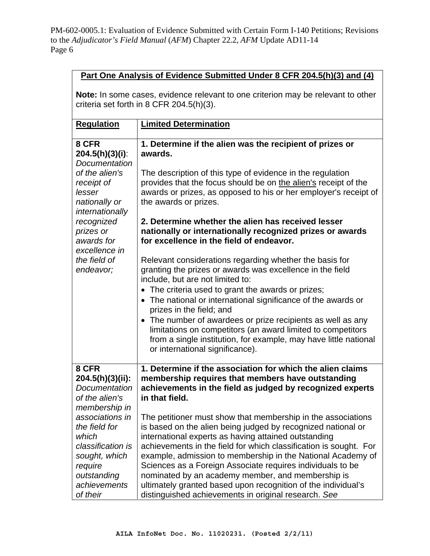| Part One Analysis of Evidence Submitted Under 8 CFR 204.5(h)(3) and (4)                                                                                                                                           |                                                                                                                                                                                                                                                                                                                                                                                                                                                                                                                                                                                                                                                                                                                                                                                                                                                                                                                                                                                                                      |  |  |
|-------------------------------------------------------------------------------------------------------------------------------------------------------------------------------------------------------------------|----------------------------------------------------------------------------------------------------------------------------------------------------------------------------------------------------------------------------------------------------------------------------------------------------------------------------------------------------------------------------------------------------------------------------------------------------------------------------------------------------------------------------------------------------------------------------------------------------------------------------------------------------------------------------------------------------------------------------------------------------------------------------------------------------------------------------------------------------------------------------------------------------------------------------------------------------------------------------------------------------------------------|--|--|
| Note: In some cases, evidence relevant to one criterion may be relevant to other<br>criteria set forth in 8 CFR 204.5(h)(3).                                                                                      |                                                                                                                                                                                                                                                                                                                                                                                                                                                                                                                                                                                                                                                                                                                                                                                                                                                                                                                                                                                                                      |  |  |
| <b>Regulation</b>                                                                                                                                                                                                 | <b>Limited Determination</b>                                                                                                                                                                                                                                                                                                                                                                                                                                                                                                                                                                                                                                                                                                                                                                                                                                                                                                                                                                                         |  |  |
| 8 CFR<br>$204.5(h)(3)(i)$ :<br>Documentation<br>of the alien's<br>receipt of<br>lesser<br>nationally or<br>internationally<br>recognized<br>prizes or<br>awards for<br>excellence in<br>the field of<br>endeavor; | 1. Determine if the alien was the recipient of prizes or<br>awards.<br>The description of this type of evidence in the regulation<br>provides that the focus should be on the alien's receipt of the<br>awards or prizes, as opposed to his or her employer's receipt of<br>the awards or prizes.<br>2. Determine whether the alien has received lesser<br>nationally or internationally recognized prizes or awards<br>for excellence in the field of endeavor.<br>Relevant considerations regarding whether the basis for<br>granting the prizes or awards was excellence in the field<br>include, but are not limited to:<br>• The criteria used to grant the awards or prizes;<br>• The national or international significance of the awards or<br>prizes in the field; and<br>• The number of awardees or prize recipients as well as any<br>limitations on competitors (an award limited to competitors<br>from a single institution, for example, may have little national<br>or international significance). |  |  |
| 8 CFR<br>204.5(h)(3)(ii):<br>Documentation<br>of the alien's<br>membership in                                                                                                                                     | 1. Determine if the association for which the alien claims<br>membership requires that members have outstanding<br>achievements in the field as judged by recognized experts<br>in that field.                                                                                                                                                                                                                                                                                                                                                                                                                                                                                                                                                                                                                                                                                                                                                                                                                       |  |  |
| associations in<br>the field for<br>which<br>classification is<br>sought, which<br>require<br>outstanding<br>achievements<br>of their                                                                             | The petitioner must show that membership in the associations<br>is based on the alien being judged by recognized national or<br>international experts as having attained outstanding<br>achievements in the field for which classification is sought. For<br>example, admission to membership in the National Academy of<br>Sciences as a Foreign Associate requires individuals to be<br>nominated by an academy member, and membership is<br>ultimately granted based upon recognition of the individual's<br>distinguished achievements in original research. See                                                                                                                                                                                                                                                                                                                                                                                                                                                 |  |  |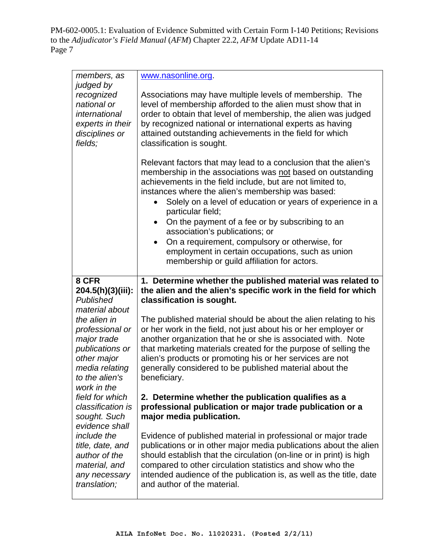| members, as                                                                                                                                           | www.nasonline.org.                                                                                                                                                                                                                                                                                                                                                                                                                                                                                                                                                                                       |  |  |  |
|-------------------------------------------------------------------------------------------------------------------------------------------------------|----------------------------------------------------------------------------------------------------------------------------------------------------------------------------------------------------------------------------------------------------------------------------------------------------------------------------------------------------------------------------------------------------------------------------------------------------------------------------------------------------------------------------------------------------------------------------------------------------------|--|--|--|
| judged by<br>recognized<br>national or<br>international<br>experts in their<br>disciplines or<br>fields;                                              | Associations may have multiple levels of membership. The<br>level of membership afforded to the alien must show that in<br>order to obtain that level of membership, the alien was judged<br>by recognized national or international experts as having<br>attained outstanding achievements in the field for which<br>classification is sought.                                                                                                                                                                                                                                                          |  |  |  |
|                                                                                                                                                       | Relevant factors that may lead to a conclusion that the alien's<br>membership in the associations was not based on outstanding<br>achievements in the field include, but are not limited to,<br>instances where the alien's membership was based:<br>Solely on a level of education or years of experience in a<br>particular field;<br>On the payment of a fee or by subscribing to an<br>$\bullet$<br>association's publications; or<br>On a requirement, compulsory or otherwise, for<br>$\bullet$<br>employment in certain occupations, such as union<br>membership or guild affiliation for actors. |  |  |  |
| 8 CFR                                                                                                                                                 | 1. Determine whether the published material was related to                                                                                                                                                                                                                                                                                                                                                                                                                                                                                                                                               |  |  |  |
| 204.5(h)(3)(iii):                                                                                                                                     | the alien and the alien's specific work in the field for which                                                                                                                                                                                                                                                                                                                                                                                                                                                                                                                                           |  |  |  |
|                                                                                                                                                       |                                                                                                                                                                                                                                                                                                                                                                                                                                                                                                                                                                                                          |  |  |  |
| Published                                                                                                                                             | classification is sought.                                                                                                                                                                                                                                                                                                                                                                                                                                                                                                                                                                                |  |  |  |
| material about<br>the alien in<br>professional or<br>major trade<br>publications or<br>other major<br>media relating<br>to the alien's<br>work in the | The published material should be about the alien relating to his<br>or her work in the field, not just about his or her employer or<br>another organization that he or she is associated with. Note<br>that marketing materials created for the purpose of selling the<br>alien's products or promoting his or her services are not<br>generally considered to be published material about the<br>beneficiary.                                                                                                                                                                                           |  |  |  |
| field for which<br>classification is<br>sought. Such                                                                                                  | 2. Determine whether the publication qualifies as a<br>professional publication or major trade publication or a<br>major media publication.                                                                                                                                                                                                                                                                                                                                                                                                                                                              |  |  |  |
| evidence shall<br>include the<br>title, date, and<br>author of the                                                                                    | Evidence of published material in professional or major trade<br>publications or in other major media publications about the alien<br>should establish that the circulation (on-line or in print) is high                                                                                                                                                                                                                                                                                                                                                                                                |  |  |  |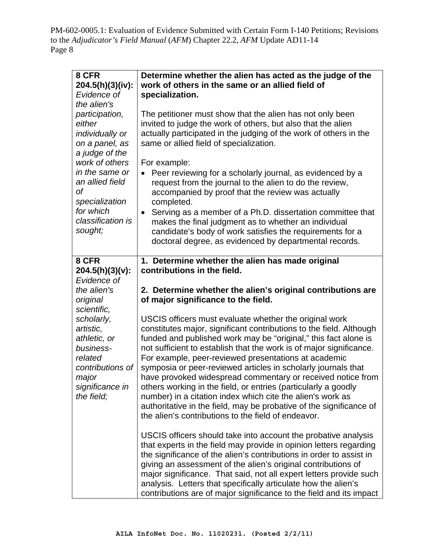| 8 CFR<br>204.5(h)(3)(iv):<br>Evidence of<br>the alien's<br>participation,<br>either<br>individually or<br>on a panel, as<br>a judge of the<br>work of others<br>in the same or<br>an allied field<br>Οf<br>specialization<br>for which | Determine whether the alien has acted as the judge of the<br>work of others in the same or an allied field of<br>specialization.<br>The petitioner must show that the alien has not only been<br>invited to judge the work of others, but also that the alien<br>actually participated in the judging of the work of others in the<br>same or allied field of specialization.<br>For example:<br>Peer reviewing for a scholarly journal, as evidenced by a<br>request from the journal to the alien to do the review,<br>accompanied by proof that the review was actually<br>completed.<br>Serving as a member of a Ph.D. dissertation committee that<br>$\bullet$                                                           |  |
|----------------------------------------------------------------------------------------------------------------------------------------------------------------------------------------------------------------------------------------|-------------------------------------------------------------------------------------------------------------------------------------------------------------------------------------------------------------------------------------------------------------------------------------------------------------------------------------------------------------------------------------------------------------------------------------------------------------------------------------------------------------------------------------------------------------------------------------------------------------------------------------------------------------------------------------------------------------------------------|--|
| classification is<br>sought;                                                                                                                                                                                                           | makes the final judgment as to whether an individual<br>candidate's body of work satisfies the requirements for a<br>doctoral degree, as evidenced by departmental records.                                                                                                                                                                                                                                                                                                                                                                                                                                                                                                                                                   |  |
| 8 CFR<br>$204.5(h)(3)(v)$ :<br>Evidence of<br>the alien's<br>original<br>scientific,                                                                                                                                                   | 1. Determine whether the alien has made original<br>contributions in the field.<br>2. Determine whether the alien's original contributions are<br>of major significance to the field.                                                                                                                                                                                                                                                                                                                                                                                                                                                                                                                                         |  |
| scholarly,<br>artistic,<br>athletic, or<br>business-<br>related<br>contributions of<br>major<br>significance in<br>the field;                                                                                                          | USCIS officers must evaluate whether the original work<br>constitutes major, significant contributions to the field. Although<br>funded and published work may be "original," this fact alone is<br>not sufficient to establish that the work is of major significance.<br>For example, peer-reviewed presentations at academic<br>symposia or peer-reviewed articles in scholarly journals that<br>have provoked widespread commentary or received notice from<br>others working in the field, or entries (particularly a goodly<br>number) in a citation index which cite the alien's work as<br>authoritative in the field, may be probative of the significance of<br>the alien's contributions to the field of endeavor. |  |
|                                                                                                                                                                                                                                        | USCIS officers should take into account the probative analysis<br>that experts in the field may provide in opinion letters regarding<br>the significance of the alien's contributions in order to assist in<br>giving an assessment of the alien's original contributions of<br>major significance. That said, not all expert letters provide such<br>analysis. Letters that specifically articulate how the alien's<br>contributions are of major significance to the field and its impact                                                                                                                                                                                                                                   |  |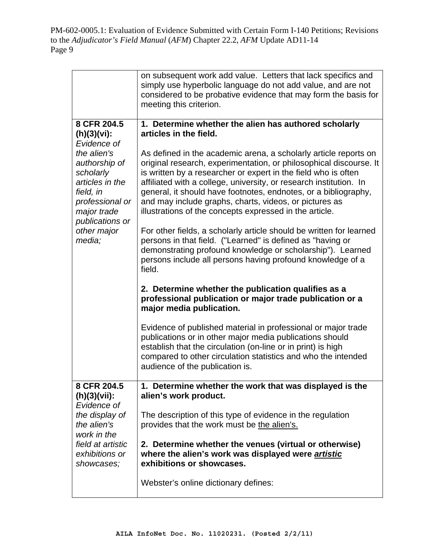|                                                                                                                                                                                                      | on subsequent work add value. Letters that lack specifics and<br>simply use hyperbolic language do not add value, and are not<br>considered to be probative evidence that may form the basis for<br>meeting this criterion.                                                                                                                                                                                                                                                                                                                                                                                                                                                                                                                                                                                                                                                                                                                                                                                                                                                                                                                                                                                                                                                          |
|------------------------------------------------------------------------------------------------------------------------------------------------------------------------------------------------------|--------------------------------------------------------------------------------------------------------------------------------------------------------------------------------------------------------------------------------------------------------------------------------------------------------------------------------------------------------------------------------------------------------------------------------------------------------------------------------------------------------------------------------------------------------------------------------------------------------------------------------------------------------------------------------------------------------------------------------------------------------------------------------------------------------------------------------------------------------------------------------------------------------------------------------------------------------------------------------------------------------------------------------------------------------------------------------------------------------------------------------------------------------------------------------------------------------------------------------------------------------------------------------------|
| 8 CFR 204.5<br>(h)(3)(vi):<br>Evidence of<br>the alien's<br>authorship of<br>scholarly<br>articles in the<br>field, in<br>professional or<br>major trade<br>publications or<br>other major<br>media; | 1. Determine whether the alien has authored scholarly<br>articles in the field.<br>As defined in the academic arena, a scholarly article reports on<br>original research, experimentation, or philosophical discourse. It<br>is written by a researcher or expert in the field who is often<br>affiliated with a college, university, or research institution. In<br>general, it should have footnotes, endnotes, or a bibliography,<br>and may include graphs, charts, videos, or pictures as<br>illustrations of the concepts expressed in the article.<br>For other fields, a scholarly article should be written for learned<br>persons in that field. ("Learned" is defined as "having or<br>demonstrating profound knowledge or scholarship"). Learned<br>persons include all persons having profound knowledge of a<br>field.<br>2. Determine whether the publication qualifies as a<br>professional publication or major trade publication or a<br>major media publication.<br>Evidence of published material in professional or major trade<br>publications or in other major media publications should<br>establish that the circulation (on-line or in print) is high<br>compared to other circulation statistics and who the intended<br>audience of the publication is. |
| 8 CFR 204.5<br>(h)(3)(vii):<br>Evidence of<br>the display of<br>the alien's<br>work in the<br>field at artistic<br>exhibitions or<br>showcases;                                                      | 1. Determine whether the work that was displayed is the<br>alien's work product.<br>The description of this type of evidence in the regulation<br>provides that the work must be the alien's.<br>2. Determine whether the venues (virtual or otherwise)<br>where the alien's work was displayed were artistic<br>exhibitions or showcases.<br>Webster's online dictionary defines:                                                                                                                                                                                                                                                                                                                                                                                                                                                                                                                                                                                                                                                                                                                                                                                                                                                                                                   |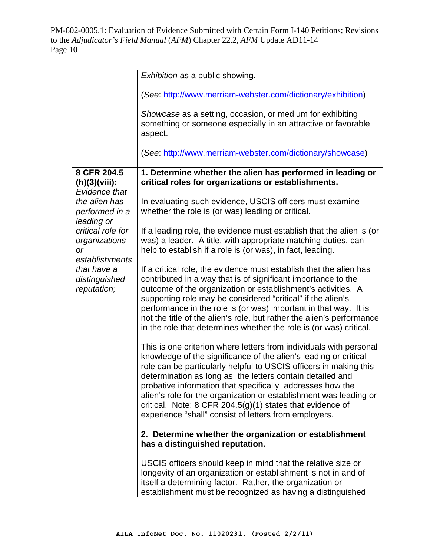|                                                                                                                                | Exhibition as a public showing.                                                                                                                                                                                                                                                                                                                                                                                                                                                                                                     |
|--------------------------------------------------------------------------------------------------------------------------------|-------------------------------------------------------------------------------------------------------------------------------------------------------------------------------------------------------------------------------------------------------------------------------------------------------------------------------------------------------------------------------------------------------------------------------------------------------------------------------------------------------------------------------------|
|                                                                                                                                | (See: http://www.merriam-webster.com/dictionary/exhibition)                                                                                                                                                                                                                                                                                                                                                                                                                                                                         |
|                                                                                                                                | Showcase as a setting, occasion, or medium for exhibiting<br>something or someone especially in an attractive or favorable<br>aspect.                                                                                                                                                                                                                                                                                                                                                                                               |
|                                                                                                                                | (See: http://www.merriam-webster.com/dictionary/showcase)                                                                                                                                                                                                                                                                                                                                                                                                                                                                           |
| 8 CFR 204.5<br>(h)(3)(viii):                                                                                                   | 1. Determine whether the alien has performed in leading or<br>critical roles for organizations or establishments.                                                                                                                                                                                                                                                                                                                                                                                                                   |
| Evidence that<br>the alien has<br>performed in a                                                                               | In evaluating such evidence, USCIS officers must examine<br>whether the role is (or was) leading or critical.                                                                                                                                                                                                                                                                                                                                                                                                                       |
| leading or<br>critical role for<br>organizations<br><b>or</b><br>establishments<br>that have a<br>distinguished<br>reputation; | If a leading role, the evidence must establish that the alien is (or<br>was) a leader. A title, with appropriate matching duties, can<br>help to establish if a role is (or was), in fact, leading.                                                                                                                                                                                                                                                                                                                                 |
|                                                                                                                                | If a critical role, the evidence must establish that the alien has<br>contributed in a way that is of significant importance to the<br>outcome of the organization or establishment's activities. A<br>supporting role may be considered "critical" if the alien's<br>performance in the role is (or was) important in that way. It is<br>not the title of the alien's role, but rather the alien's performance<br>in the role that determines whether the role is (or was) critical.                                               |
|                                                                                                                                | This is one criterion where letters from individuals with personal<br>knowledge of the significance of the alien's leading or critical<br>role can be particularly helpful to USCIS officers in making this<br>determination as long as the letters contain detailed and<br>probative information that specifically addresses how the<br>alien's role for the organization or establishment was leading or<br>critical. Note: 8 CFR 204.5 $(g)(1)$ states that evidence of<br>experience "shall" consist of letters from employers. |
|                                                                                                                                | 2. Determine whether the organization or establishment<br>has a distinguished reputation.                                                                                                                                                                                                                                                                                                                                                                                                                                           |
|                                                                                                                                | USCIS officers should keep in mind that the relative size or<br>longevity of an organization or establishment is not in and of<br>itself a determining factor. Rather, the organization or<br>establishment must be recognized as having a distinguished                                                                                                                                                                                                                                                                            |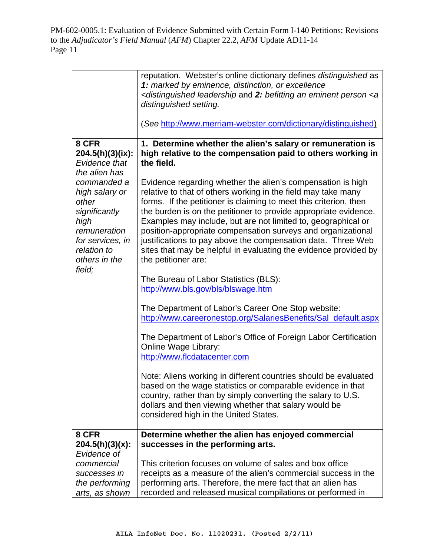|                                                                                                                                               | reputation. Webster's online dictionary defines distinguished as<br>1: marked by eminence, distinction, or excellence<br><distinguished 2:="" <a<br="" an="" and="" befitting="" eminent="" leadership="" person="">distinguished setting.<br/>(See http://www.merriam-webster.com/dictionary/distinguished)</distinguished>                                                                                                                                                                                                                                      |
|-----------------------------------------------------------------------------------------------------------------------------------------------|-------------------------------------------------------------------------------------------------------------------------------------------------------------------------------------------------------------------------------------------------------------------------------------------------------------------------------------------------------------------------------------------------------------------------------------------------------------------------------------------------------------------------------------------------------------------|
| 8 CFR<br>204.5(h)(3)(ix):<br>Evidence that<br>the alien has                                                                                   | 1. Determine whether the alien's salary or remuneration is<br>high relative to the compensation paid to others working in<br>the field.                                                                                                                                                                                                                                                                                                                                                                                                                           |
| commanded a<br>high salary or<br>other<br>significantly<br>high<br>remuneration<br>for services, in<br>relation to<br>others in the<br>field; | Evidence regarding whether the alien's compensation is high<br>relative to that of others working in the field may take many<br>forms. If the petitioner is claiming to meet this criterion, then<br>the burden is on the petitioner to provide appropriate evidence.<br>Examples may include, but are not limited to, geographical or<br>position-appropriate compensation surveys and organizational<br>justifications to pay above the compensation data. Three Web<br>sites that may be helpful in evaluating the evidence provided by<br>the petitioner are: |
|                                                                                                                                               | The Bureau of Labor Statistics (BLS):<br>http://www.bls.gov/bls/blswage.htm                                                                                                                                                                                                                                                                                                                                                                                                                                                                                       |
|                                                                                                                                               | The Department of Labor's Career One Stop website:<br>http://www.careeronestop.org/SalariesBenefits/Sal_default.aspx                                                                                                                                                                                                                                                                                                                                                                                                                                              |
|                                                                                                                                               | The Department of Labor's Office of Foreign Labor Certification<br>Online Wage Library:<br>http://www.flcdatacenter.com                                                                                                                                                                                                                                                                                                                                                                                                                                           |
|                                                                                                                                               | Note: Aliens working in different countries should be evaluated<br>based on the wage statistics or comparable evidence in that<br>country, rather than by simply converting the salary to U.S.<br>dollars and then viewing whether that salary would be<br>considered high in the United States.                                                                                                                                                                                                                                                                  |
| 8 CFR<br>$204.5(h)(3)(x)$ :                                                                                                                   | Determine whether the alien has enjoyed commercial<br>successes in the performing arts.                                                                                                                                                                                                                                                                                                                                                                                                                                                                           |
| Evidence of<br>commercial<br>successes in<br>the performing<br>arts, as shown                                                                 | This criterion focuses on volume of sales and box office<br>receipts as a measure of the alien's commercial success in the<br>performing arts. Therefore, the mere fact that an alien has<br>recorded and released musical compilations or performed in                                                                                                                                                                                                                                                                                                           |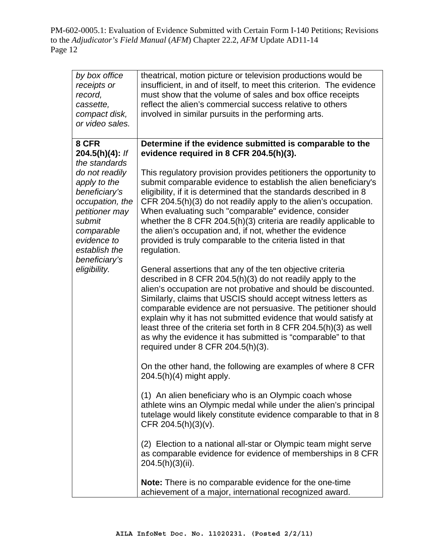| by box office<br>receipts or<br>record,<br>cassette,<br>compact disk,<br>or video sales.                                                                      | theatrical, motion picture or television productions would be<br>insufficient, in and of itself, to meet this criterion. The evidence<br>must show that the volume of sales and box office receipts<br>reflect the alien's commercial success relative to others<br>involved in similar pursuits in the performing arts.                                                                                                                                                                                                                                                  |
|---------------------------------------------------------------------------------------------------------------------------------------------------------------|---------------------------------------------------------------------------------------------------------------------------------------------------------------------------------------------------------------------------------------------------------------------------------------------------------------------------------------------------------------------------------------------------------------------------------------------------------------------------------------------------------------------------------------------------------------------------|
| 8 CFR<br>204.5(h)(4): /f<br>the standards                                                                                                                     | Determine if the evidence submitted is comparable to the<br>evidence required in 8 CFR 204.5(h)(3).                                                                                                                                                                                                                                                                                                                                                                                                                                                                       |
| do not readily<br>apply to the<br>beneficiary's<br>occupation, the<br>petitioner may<br>submit<br>comparable<br>evidence to<br>establish the<br>beneficiary's | This regulatory provision provides petitioners the opportunity to<br>submit comparable evidence to establish the alien beneficiary's<br>eligibility, if it is determined that the standards described in 8<br>CFR 204.5(h)(3) do not readily apply to the alien's occupation.<br>When evaluating such "comparable" evidence, consider<br>whether the 8 CFR 204.5(h)(3) criteria are readily applicable to<br>the alien's occupation and, if not, whether the evidence<br>provided is truly comparable to the criteria listed in that<br>regulation.                       |
| eligibility.                                                                                                                                                  | General assertions that any of the ten objective criteria<br>described in 8 CFR 204.5(h)(3) do not readily apply to the<br>alien's occupation are not probative and should be discounted.<br>Similarly, claims that USCIS should accept witness letters as<br>comparable evidence are not persuasive. The petitioner should<br>explain why it has not submitted evidence that would satisfy at<br>least three of the criteria set forth in 8 CFR 204.5(h)(3) as well<br>as why the evidence it has submitted is "comparable" to that<br>required under 8 CFR 204.5(h)(3). |
|                                                                                                                                                               | On the other hand, the following are examples of where 8 CFR<br>$204.5(h)(4)$ might apply.                                                                                                                                                                                                                                                                                                                                                                                                                                                                                |
|                                                                                                                                                               | (1) An alien beneficiary who is an Olympic coach whose<br>athlete wins an Olympic medal while under the alien's principal<br>tutelage would likely constitute evidence comparable to that in 8<br>CFR 204.5(h)(3)(v).                                                                                                                                                                                                                                                                                                                                                     |
|                                                                                                                                                               | (2) Election to a national all-star or Olympic team might serve<br>as comparable evidence for evidence of memberships in 8 CFR<br>$204.5(h)(3)(ii)$ .                                                                                                                                                                                                                                                                                                                                                                                                                     |
|                                                                                                                                                               | <b>Note:</b> There is no comparable evidence for the one-time<br>achievement of a major, international recognized award.                                                                                                                                                                                                                                                                                                                                                                                                                                                  |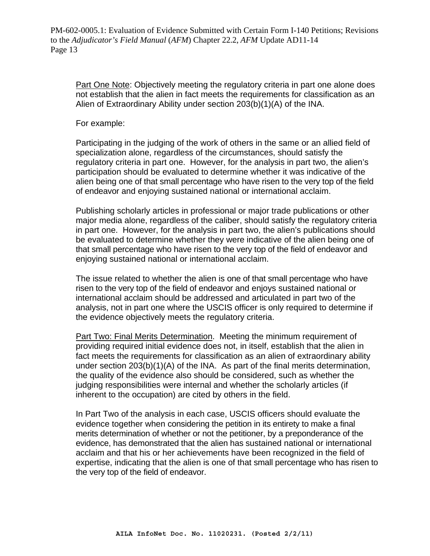Part One Note: Objectively meeting the regulatory criteria in part one alone does not establish that the alien in fact meets the requirements for classification as an Alien of Extraordinary Ability under section 203(b)(1)(A) of the INA.

For example:

Participating in the judging of the work of others in the same or an allied field of specialization alone, regardless of the circumstances, should satisfy the regulatory criteria in part one. However, for the analysis in part two, the alien's participation should be evaluated to determine whether it was indicative of the alien being one of that small percentage who have risen to the very top of the field of endeavor and enjoying sustained national or international acclaim.

Publishing scholarly articles in professional or major trade publications or other major media alone, regardless of the caliber, should satisfy the regulatory criteria in part one. However, for the analysis in part two, the alien's publications should be evaluated to determine whether they were indicative of the alien being one of that small percentage who have risen to the very top of the field of endeavor and enjoying sustained national or international acclaim.

The issue related to whether the alien is one of that small percentage who have risen to the very top of the field of endeavor and enjoys sustained national or international acclaim should be addressed and articulated in part two of the analysis, not in part one where the USCIS officer is only required to determine if the evidence objectively meets the regulatory criteria.

Part Two: Final Merits Determination. Meeting the minimum requirement of providing required initial evidence does not, in itself, establish that the alien in fact meets the requirements for classification as an alien of extraordinary ability under section 203(b)(1)(A) of the INA. As part of the final merits determination, the quality of the evidence also should be considered, such as whether the judging responsibilities were internal and whether the scholarly articles (if inherent to the occupation) are cited by others in the field.

In Part Two of the analysis in each case, USCIS officers should evaluate the evidence together when considering the petition in its entirety to make a final merits determination of whether or not the petitioner, by a preponderance of the evidence, has demonstrated that the alien has sustained national or international acclaim and that his or her achievements have been recognized in the field of expertise, indicating that the alien is one of that small percentage who has risen to the very top of the field of endeavor.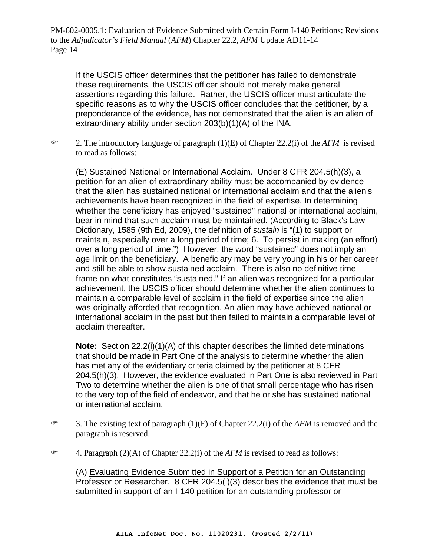If the USCIS officer determines that the petitioner has failed to demonstrate these requirements, the USCIS officer should not merely make general assertions regarding this failure. Rather, the USCIS officer must articulate the specific reasons as to why the USCIS officer concludes that the petitioner, by a preponderance of the evidence, has not demonstrated that the alien is an alien of extraordinary ability under section 203(b)(1)(A) of the INA.

 2. The introductory language of paragraph (1)(E) of Chapter 22.2(i) of the *AFM* is revised to read as follows:

(E) Sustained National or International Acclaim. Under [8 CFR 204.5\(h\)\(3\)](http://www.uscis.gov/ilink/docView/SLB/HTML/SLB/0-0-0-1/0-0-0-11261/0-0-0-12632/0-0-0-13411.html#0-0-0-10683), a petition for an alien of extraordinary ability must be accompanied by evidence that the alien has sustained national or international acclaim and that the alien's achievements have been recognized in the field of expertise. In determining whether the beneficiary has enjoyed "sustained" national or international acclaim, bear in mind that such acclaim must be maintained. (According to Black's Law Dictionary, 1585 (9th Ed, 2009), the definition of *sustain* is "(1) to support or maintain, especially over a long period of time; 6. To persist in making (an effort) over a long period of time.") However, the word "sustained" does not imply an age limit on the beneficiary. A beneficiary may be very young in his or her career and still be able to show sustained acclaim. There is also no definitive time frame on what constitutes "sustained." If an alien was recognized for a particular achievement, the USCIS officer should determine whether the alien continues to maintain a comparable level of acclaim in the field of expertise since the alien was originally afforded that recognition. An alien may have achieved national or international acclaim in the past but then failed to maintain a comparable level of acclaim thereafter.

**Note:** Section 22.2(i)(1)(A) of this chapter describes the limited determinations that should be made in Part One of the analysis to determine whether the alien has met any of the evidentiary criteria claimed by the petitioner at 8 CFR 204.5(h)(3). However, the evidence evaluated in Part One is also reviewed in Part Two to determine whether the alien is one of that small percentage who has risen to the very top of the field of endeavor, and that he or she has sustained national or international acclaim.

- 3. The existing text of paragraph (1)(F) of Chapter 22.2(i) of the *AFM* is removed and the paragraph is reserved.
- 4. Paragraph (2)(A) of Chapter 22.2(i) of the *AFM* is revised to read as follows:

(A) Evaluating Evidence Submitted in Support of a Petition for an Outstanding Professor or Researcher. 8 CFR 204.5(i)(3) describes the evidence that must be submitted in support of an I-140 petition for an outstanding professor or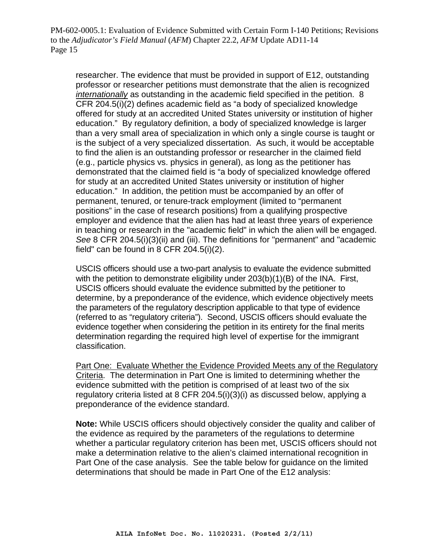researcher. The evidence that must be provided in support of E12, outstanding professor or researcher petitions must demonstrate that the alien is recognized *internationally* as outstanding in the academic field specified in the petition. 8 CFR 204.5(i)(2) defines academic field as "a body of specialized knowledge offered for study at an accredited United States university or institution of higher education." By regulatory definition, a body of specialized knowledge is larger than a very small area of specialization in which only a single course is taught or is the subject of a very specialized dissertation. As such, it would be acceptable to find the alien is an outstanding professor or researcher in the claimed field (e.g., particle physics vs. physics in general), as long as the petitioner has demonstrated that the claimed field is "a body of specialized knowledge offered for study at an accredited United States university or institution of higher education." In addition, the petition must be accompanied by an offer of permanent, tenured, or tenure-track employment (limited to "permanent positions" in the case of research positions) from a qualifying prospective employer and evidence that the alien has had at least three years of experience in teaching or research in the "academic field" in which the alien will be engaged. *See* [8 CFR 204.5\(i\)\(3\)\(ii\) a](http://www.uscis.gov/ilink/docView/SLB/HTML/SLB/0-0-0-1/0-0-0-11261/0-0-0-12632/0-0-0-13411.html#0-0-0-10731)nd [\(iii\)](http://www.uscis.gov/ilink/docView/SLB/HTML/SLB/0-0-0-1/0-0-0-11261/0-0-0-12632/0-0-0-13411.html#0-0-0-10733). The definitions for "permanent" and "academic field" can be found in [8 CFR 204.5\(i\)\(2\)](http://www.uscis.gov/ilink/docView/SLB/HTML/SLB/0-0-0-1/0-0-0-11261/0-0-0-12632/0-0-0-13411.html#0-0-0-10713).

USCIS officers should use a two-part analysis to evaluate the evidence submitted with the petition to demonstrate eligibility under 203(b)(1)(B) of the INA. First, USCIS officers should evaluate the evidence submitted by the petitioner to determine, by a preponderance of the evidence, which evidence objectively meets the parameters of the regulatory description applicable to that type of evidence (referred to as "regulatory criteria"). Second, USCIS officers should evaluate the evidence together when considering the petition in its entirety for the final merits determination regarding the required high level of expertise for the immigrant classification.

Part One: Evaluate Whether the Evidence Provided Meets any of the Regulatory Criteria. The determination in Part One is limited to determining whether the evidence submitted with the petition is comprised of at least two of the six regulatory criteria listed at 8 CFR 204.5(i)(3)(i) as discussed below, applying a preponderance of the evidence standard.

**Note:** While USCIS officers should objectively consider the quality and caliber of the evidence as required by the parameters of the regulations to determine whether a particular regulatory criterion has been met, USCIS officers should not make a determination relative to the alien's claimed international recognition in Part One of the case analysis. See the table below for guidance on the limited determinations that should be made in Part One of the E12 analysis: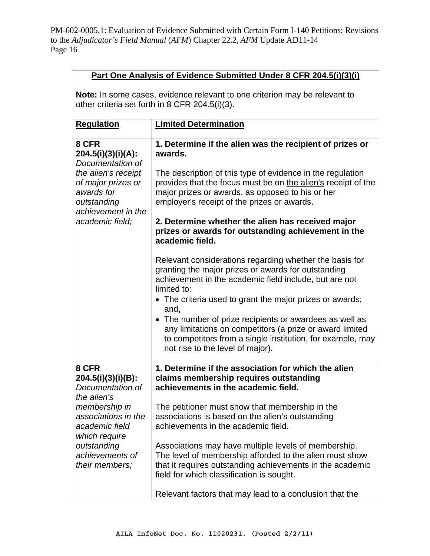| Part One Analysis of Evidence Submitted Under 8 CFR 204.5(i)(3)(i)                                                                                                                            |                                                                                                                                                                                                                                                                                                                                                                                                                                                                                                                                                                            |  |
|-----------------------------------------------------------------------------------------------------------------------------------------------------------------------------------------------|----------------------------------------------------------------------------------------------------------------------------------------------------------------------------------------------------------------------------------------------------------------------------------------------------------------------------------------------------------------------------------------------------------------------------------------------------------------------------------------------------------------------------------------------------------------------------|--|
| Note: In some cases, evidence relevant to one criterion may be relevant to<br>other criteria set forth in 8 CFR 204.5(i)(3).                                                                  |                                                                                                                                                                                                                                                                                                                                                                                                                                                                                                                                                                            |  |
| <b>Regulation</b>                                                                                                                                                                             | <b>Limited Determination</b>                                                                                                                                                                                                                                                                                                                                                                                                                                                                                                                                               |  |
| 8 CFR<br>204.5(i)(3)(i)(A):<br>Documentation of<br>the alien's receipt<br>of major prizes or<br>awards for<br>outstanding<br>achievement in the<br>academic field;                            | 1. Determine if the alien was the recipient of prizes or<br>awards.<br>The description of this type of evidence in the regulation<br>provides that the focus must be on the alien's receipt of the<br>major prizes or awards, as opposed to his or her<br>employer's receipt of the prizes or awards.<br>2. Determine whether the alien has received major<br>prizes or awards for outstanding achievement in the<br>academic field.                                                                                                                                       |  |
|                                                                                                                                                                                               | Relevant considerations regarding whether the basis for<br>granting the major prizes or awards for outstanding<br>achievement in the academic field include, but are not<br>limited to:<br>• The criteria used to grant the major prizes or awards;<br>and,<br>• The number of prize recipients or awardees as well as<br>any limitations on competitors (a prize or award limited<br>to competitors from a single institution, for example, may<br>not rise to the level of major).                                                                                       |  |
| 8 CFR<br>204.5(i)(3)(i)(B):<br>Documentation of<br>the alien's<br>membership in<br>associations in the<br>academic field<br>which require<br>outstanding<br>achievements of<br>their members; | 1. Determine if the association for which the alien<br>claims membership requires outstanding<br>achievements in the academic field.<br>The petitioner must show that membership in the<br>associations is based on the alien's outstanding<br>achievements in the academic field.<br>Associations may have multiple levels of membership.<br>The level of membership afforded to the alien must show<br>that it requires outstanding achievements in the academic<br>field for which classification is sought.<br>Relevant factors that may lead to a conclusion that the |  |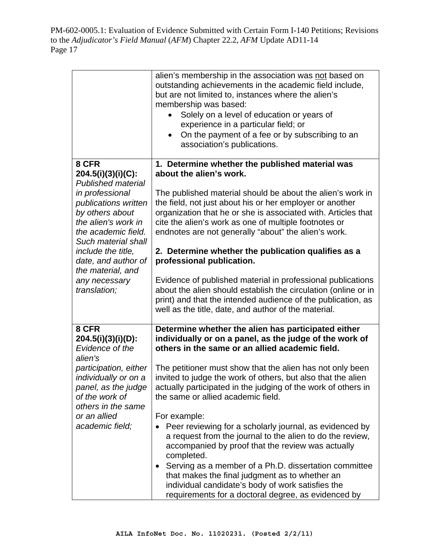|                                                                                                              | alien's membership in the association was not based on<br>outstanding achievements in the academic field include,<br>but are not limited to, instances where the alien's<br>membership was based:<br>Solely on a level of education or years of<br>experience in a particular field; or<br>On the payment of a fee or by subscribing to an<br>$\bullet$<br>association's publications. |  |
|--------------------------------------------------------------------------------------------------------------|----------------------------------------------------------------------------------------------------------------------------------------------------------------------------------------------------------------------------------------------------------------------------------------------------------------------------------------------------------------------------------------|--|
| 8 CFR                                                                                                        | 1. Determine whether the published material was                                                                                                                                                                                                                                                                                                                                        |  |
| 204.5(i)(3)(i)(C):<br><b>Published material</b>                                                              | about the alien's work.                                                                                                                                                                                                                                                                                                                                                                |  |
| in professional<br>publications written<br>by others about<br>the alien's work in<br>the academic field.     | The published material should be about the alien's work in<br>the field, not just about his or her employer or another<br>organization that he or she is associated with. Articles that<br>cite the alien's work as one of multiple footnotes or<br>endnotes are not generally "about" the alien's work.                                                                               |  |
| Such material shall<br>include the title,<br>date, and author of<br>the material, and                        | 2. Determine whether the publication qualifies as a<br>professional publication.                                                                                                                                                                                                                                                                                                       |  |
| any necessary<br>translation;                                                                                | Evidence of published material in professional publications<br>about the alien should establish the circulation (online or in<br>print) and that the intended audience of the publication, as<br>well as the title, date, and author of the material.                                                                                                                                  |  |
| 8 CFR<br>204.5(i)(3)(i)(D):<br>Evidence of the<br>alien's                                                    | Determine whether the alien has participated either<br>individually or on a panel, as the judge of the work of<br>others in the same or an allied academic field.                                                                                                                                                                                                                      |  |
| participation, either<br>individually or on a<br>panel, as the judge<br>of the work of<br>others in the same | The petitioner must show that the alien has not only been<br>invited to judge the work of others, but also that the alien<br>actually participated in the judging of the work of others in<br>the same or allied academic field.                                                                                                                                                       |  |
| or an allied<br>academic field;                                                                              | For example:<br>Peer reviewing for a scholarly journal, as evidenced by<br>a request from the journal to the alien to do the review,<br>accompanied by proof that the review was actually<br>completed.                                                                                                                                                                                |  |
|                                                                                                              | Serving as a member of a Ph.D. dissertation committee<br>$\bullet$<br>that makes the final judgment as to whether an<br>individual candidate's body of work satisfies the<br>requirements for a doctoral degree, as evidenced by                                                                                                                                                       |  |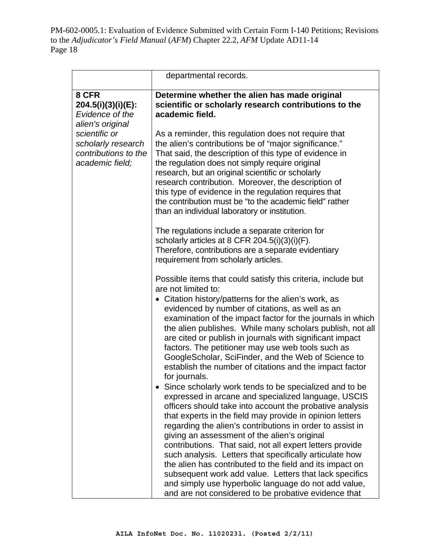|                                                                                                    | departmental records.                                                                                                                                                                                                                                                                                                                                                                                                                                                                                                                                                                                                                                                                                                                                                                                                                                                                                                                                                                                                                                                                                                                                                                                                                                                                            |
|----------------------------------------------------------------------------------------------------|--------------------------------------------------------------------------------------------------------------------------------------------------------------------------------------------------------------------------------------------------------------------------------------------------------------------------------------------------------------------------------------------------------------------------------------------------------------------------------------------------------------------------------------------------------------------------------------------------------------------------------------------------------------------------------------------------------------------------------------------------------------------------------------------------------------------------------------------------------------------------------------------------------------------------------------------------------------------------------------------------------------------------------------------------------------------------------------------------------------------------------------------------------------------------------------------------------------------------------------------------------------------------------------------------|
| 8 CFR<br>204.5(i)(3)(i)(E):<br>Evidence of the                                                     | Determine whether the alien has made original<br>scientific or scholarly research contributions to the<br>academic field.                                                                                                                                                                                                                                                                                                                                                                                                                                                                                                                                                                                                                                                                                                                                                                                                                                                                                                                                                                                                                                                                                                                                                                        |
| alien's original<br>scientific or<br>scholarly research<br>contributions to the<br>academic field; | As a reminder, this regulation does not require that<br>the alien's contributions be of "major significance."<br>That said, the description of this type of evidence in<br>the regulation does not simply require original<br>research, but an original scientific or scholarly<br>research contribution. Moreover, the description of<br>this type of evidence in the regulation requires that<br>the contribution must be "to the academic field" rather<br>than an individual laboratory or institution.                                                                                                                                                                                                                                                                                                                                                                                                                                                                                                                                                                                                                                                                                                                                                                                      |
|                                                                                                    | The regulations include a separate criterion for<br>scholarly articles at 8 CFR $204.5(i)(3)(i)(F)$ .<br>Therefore, contributions are a separate evidentiary<br>requirement from scholarly articles.                                                                                                                                                                                                                                                                                                                                                                                                                                                                                                                                                                                                                                                                                                                                                                                                                                                                                                                                                                                                                                                                                             |
|                                                                                                    | Possible items that could satisfy this criteria, include but<br>are not limited to:<br>• Citation history/patterns for the alien's work, as<br>evidenced by number of citations, as well as an<br>examination of the impact factor for the journals in which<br>the alien publishes. While many scholars publish, not all<br>are cited or publish in journals with significant impact<br>factors. The petitioner may use web tools such as<br>GoogleScholar, SciFinder, and the Web of Science to<br>establish the number of citations and the impact factor<br>for journals.<br>Since scholarly work tends to be specialized and to be<br>expressed in arcane and specialized language, USCIS<br>officers should take into account the probative analysis<br>that experts in the field may provide in opinion letters<br>regarding the alien's contributions in order to assist in<br>giving an assessment of the alien's original<br>contributions. That said, not all expert letters provide<br>such analysis. Letters that specifically articulate how<br>the alien has contributed to the field and its impact on<br>subsequent work add value. Letters that lack specifics<br>and simply use hyperbolic language do not add value,<br>and are not considered to be probative evidence that |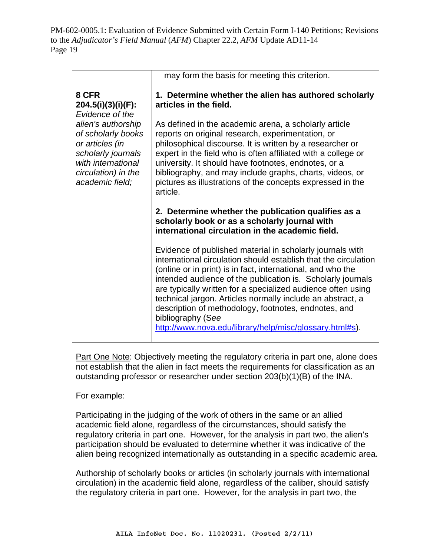| may form the basis for meeting this criterion.                                                                                                                                                                                                                                                                                                                                                                                                                                                                                   |  |  |  |
|----------------------------------------------------------------------------------------------------------------------------------------------------------------------------------------------------------------------------------------------------------------------------------------------------------------------------------------------------------------------------------------------------------------------------------------------------------------------------------------------------------------------------------|--|--|--|
| 1. Determine whether the alien has authored scholarly<br>articles in the field.                                                                                                                                                                                                                                                                                                                                                                                                                                                  |  |  |  |
| As defined in the academic arena, a scholarly article<br>reports on original research, experimentation, or<br>philosophical discourse. It is written by a researcher or<br>expert in the field who is often affiliated with a college or<br>university. It should have footnotes, endnotes, or a<br>bibliography, and may include graphs, charts, videos, or<br>pictures as illustrations of the concepts expressed in the<br>article.                                                                                           |  |  |  |
| 2. Determine whether the publication qualifies as a<br>scholarly book or as a scholarly journal with<br>international circulation in the academic field.                                                                                                                                                                                                                                                                                                                                                                         |  |  |  |
| Evidence of published material in scholarly journals with<br>international circulation should establish that the circulation<br>(online or in print) is in fact, international, and who the<br>intended audience of the publication is. Scholarly journals<br>are typically written for a specialized audience often using<br>technical jargon. Articles normally include an abstract, a<br>description of methodology, footnotes, endnotes, and<br>bibliography (See<br>http://www.nova.edu/library/help/misc/glossary.html#s). |  |  |  |
|                                                                                                                                                                                                                                                                                                                                                                                                                                                                                                                                  |  |  |  |

Part One Note: Objectively meeting the regulatory criteria in part one, alone does not establish that the alien in fact meets the requirements for classification as an outstanding professor or researcher under section 203(b)(1)(B) of the INA.

For example:

Participating in the judging of the work of others in the same or an allied academic field alone, regardless of the circumstances, should satisfy the regulatory criteria in part one. However, for the analysis in part two, the alien's participation should be evaluated to determine whether it was indicative of the alien being recognized internationally as outstanding in a specific academic area.

Authorship of scholarly books or articles (in scholarly journals with international circulation) in the academic field alone, regardless of the caliber, should satisfy the regulatory criteria in part one. However, for the analysis in part two, the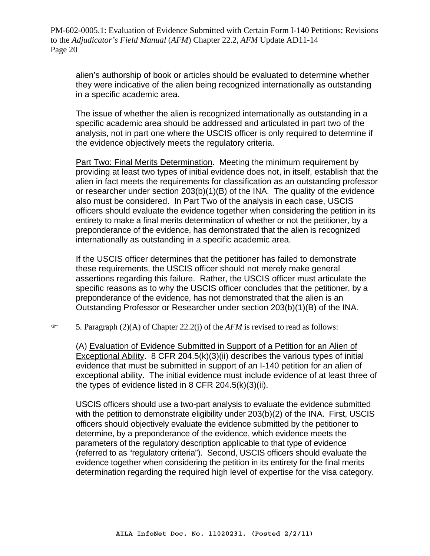alien's authorship of book or articles should be evaluated to determine whether they were indicative of the alien being recognized internationally as outstanding in a specific academic area.

The issue of whether the alien is recognized internationally as outstanding in a specific academic area should be addressed and articulated in part two of the analysis, not in part one where the USCIS officer is only required to determine if the evidence objectively meets the regulatory criteria.

Part Two: Final Merits Determination. Meeting the minimum requirement by providing at least two types of initial evidence does not, in itself, establish that the alien in fact meets the requirements for classification as an outstanding professor or researcher under section  $203(b)(1)(B)$  of the INA. The quality of the evidence also must be considered. In Part Two of the analysis in each case, USCIS officers should evaluate the evidence together when considering the petition in its entirety to make a final merits determination of whether or not the petitioner, by a preponderance of the evidence, has demonstrated that the alien is recognized internationally as outstanding in a specific academic area.

If the USCIS officer determines that the petitioner has failed to demonstrate these requirements, the USCIS officer should not merely make general assertions regarding this failure. Rather, the USCIS officer must articulate the specific reasons as to why the USCIS officer concludes that the petitioner, by a preponderance of the evidence, has not demonstrated that the alien is an Outstanding Professor or Researcher under section 203(b)(1)(B) of the INA.

5. Paragraph (2)(A) of Chapter 22.2(j) of the *AFM* is revised to read as follows:

(A) Evaluation of Evidence Submitted in Support of a Petition for an Alien of Exceptional Ability. 8 CFR 204.5(k)(3)(ii) describes the various types of initial evidence that must be submitted in support of an I-140 petition for an alien of exceptional ability. The initial evidence must include evidence of at least three of the types of evidence listed in 8 CFR 204.5(k)(3)(ii).

USCIS officers should use a two-part analysis to evaluate the evidence submitted with the petition to demonstrate eligibility under 203(b)(2) of the INA. First, USCIS officers should objectively evaluate the evidence submitted by the petitioner to determine, by a preponderance of the evidence, which evidence meets the parameters of the regulatory description applicable to that type of evidence (referred to as "regulatory criteria"). Second, USCIS officers should evaluate the evidence together when considering the petition in its entirety for the final merits determination regarding the required high level of expertise for the visa category.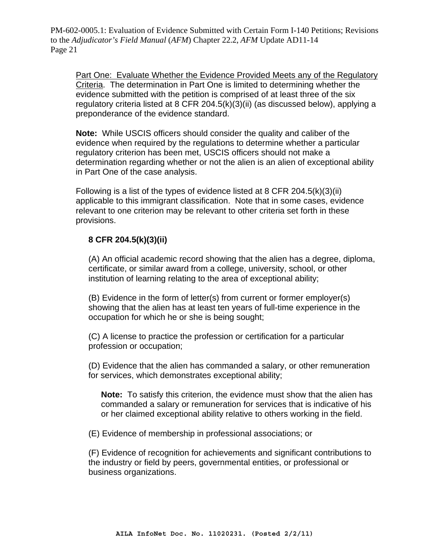Part One: Evaluate Whether the Evidence Provided Meets any of the Regulatory Criteria. The determination in Part One is limited to determining whether the evidence submitted with the petition is comprised of at least three of the six regulatory criteria listed at 8 CFR 204.5(k)(3)(ii) (as discussed below), applying a preponderance of the evidence standard.

**Note:** While USCIS officers should consider the quality and caliber of the evidence when required by the regulations to determine whether a particular regulatory criterion has been met, USCIS officers should not make a determination regarding whether or not the alien is an alien of exceptional ability in Part One of the case analysis.

Following is a list of the types of evidence listed at 8 CFR 204.5(k)(3)(ii) applicable to this immigrant classification. Note that in some cases, evidence relevant to one criterion may be relevant to other criteria set forth in these provisions.

# **8 CFR 204.5(k)(3)(ii)**

(A) An official academic record showing that the alien has a degree, diploma, certificate, or similar award from a college, university, school, or other institution of learning relating to the area of exceptional ability;

(B) Evidence in the form of letter(s) from current or former employer(s) showing that the alien has at least ten years of full-time experience in the occupation for which he or she is being sought;

(C) A license to practice the profession or certification for a particular profession or occupation;

(D) Evidence that the alien has commanded a salary, or other remuneration for services, which demonstrates exceptional ability;

**Note:** To satisfy this criterion, the evidence must show that the alien has commanded a salary or remuneration for services that is indicative of his or her claimed exceptional ability relative to others working in the field.

(E) Evidence of membership in professional associations; or

(F) Evidence of recognition for achievements and significant contributions to the industry or field by peers, governmental entities, or professional or business organizations.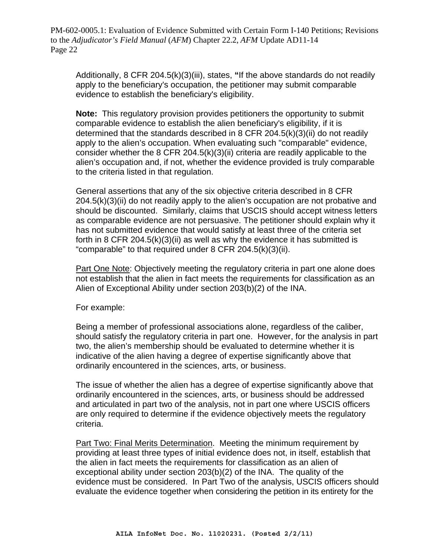Additionally, 8 CFR 204.5(k)(3)(iii), states, **"**If the above standards do not readily apply to the beneficiary's occupation, the petitioner may submit comparable evidence to establish the beneficiary's eligibility.

**Note:** This regulatory provision provides petitioners the opportunity to submit comparable evidence to establish the alien beneficiary's eligibility, if it is determined that the standards described in 8 CFR 204.5(k)(3)(ii) do not readily apply to the alien's occupation. When evaluating such "comparable" evidence, consider whether the 8 CFR 204.5(k)(3)(ii) criteria are readily applicable to the alien's occupation and, if not, whether the evidence provided is truly comparable to the criteria listed in that regulation.

General assertions that any of the six objective criteria described in 8 CFR 204.5(k)(3)(ii) do not readily apply to the alien's occupation are not probative and should be discounted. Similarly, claims that USCIS should accept witness letters as comparable evidence are not persuasive. The petitioner should explain why it has not submitted evidence that would satisfy at least three of the criteria set forth in 8 CFR 204.5(k)(3)(ii) as well as why the evidence it has submitted is "comparable" to that required under 8 CFR 204.5(k)(3)(ii).

Part One Note: Objectively meeting the regulatory criteria in part one alone does not establish that the alien in fact meets the requirements for classification as an Alien of Exceptional Ability under section 203(b)(2) of the INA.

For example:

Being a member of professional associations alone, regardless of the caliber, should satisfy the regulatory criteria in part one. However, for the analysis in part two, the alien's membership should be evaluated to determine whether it is indicative of the alien having a degree of expertise significantly above that ordinarily encountered in the sciences, arts, or business.

The issue of whether the alien has a degree of expertise significantly above that ordinarily encountered in the sciences, arts, or business should be addressed and articulated in part two of the analysis, not in part one where USCIS officers are only required to determine if the evidence objectively meets the regulatory criteria.

Part Two: Final Merits Determination. Meeting the minimum requirement by providing at least three types of initial evidence does not, in itself, establish that the alien in fact meets the requirements for classification as an alien of exceptional ability under section 203(b)(2) of the INA. The quality of the evidence must be considered. In Part Two of the analysis, USCIS officers should evaluate the evidence together when considering the petition in its entirety for the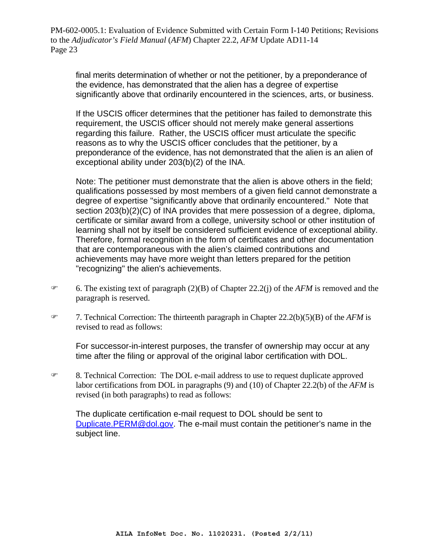final merits determination of whether or not the petitioner, by a preponderance of the evidence, has demonstrated that the alien has a degree of expertise significantly above that ordinarily encountered in the sciences, arts, or business.

If the USCIS officer determines that the petitioner has failed to demonstrate this requirement, the USCIS officer should not merely make general assertions regarding this failure. Rather, the USCIS officer must articulate the specific reasons as to why the USCIS officer concludes that the petitioner, by a preponderance of the evidence, has not demonstrated that the alien is an alien of exceptional ability under 203(b)(2) of the INA.

Note: The petitioner must demonstrate that the alien is above others in the field; qualifications possessed by most members of a given field cannot demonstrate a degree of expertise "significantly above that ordinarily encountered." Note that section 203(b)(2)(C) of INA provides that mere possession of a degree, diploma, certificate or similar award from a college, university school or other institution of learning shall not by itself be considered sufficient evidence of exceptional ability. Therefore, formal recognition in the form of certificates and other documentation that are contemporaneous with the alien's claimed contributions and achievements may have more weight than letters prepared for the petition "recognizing" the alien's achievements.

- 6. The existing text of paragraph (2)(B) of Chapter 22.2(j) of the *AFM* is removed and the paragraph is reserved.
- 7. Technical Correction: The thirteenth paragraph in Chapter 22.2(b)(5)(B) of the *AFM* is revised to read as follows:

For successor-in-interest purposes, the transfer of ownership may occur at any time after the filing or approval of the original labor certification with DOL.

 8. Technical Correction: The DOL e-mail address to use to request duplicate approved labor certifications from DOL in paragraphs (9) and (10) of Chapter 22.2(b) of the *AFM* is revised (in both paragraphs) to read as follows:

The duplicate certification e-mail request to DOL should be sent to [Duplicate.PERM@dol.gov.](mailto:Duplicate.PERM@dol.gov) The e-mail must contain the petitioner's name in the subject line.